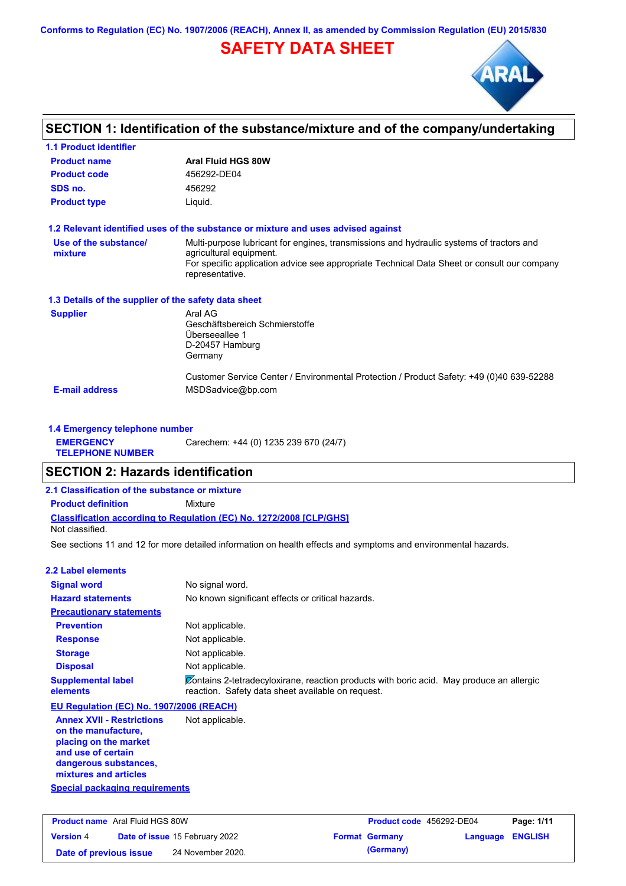**Conforms to Regulation (EC) No. 1907/2006 (REACH), Annex II, as amended by Commission Regulation (EU) 2015/830**

# **SAFETY DATA SHEET**



# **SECTION 1: Identification of the substance/mixture and of the company/undertaking**

| <b>Product name</b>                                  | <b>Aral Fluid HGS 80W</b>                                                                                           |
|------------------------------------------------------|---------------------------------------------------------------------------------------------------------------------|
| <b>Product code</b>                                  | 456292-DE04                                                                                                         |
| SDS no.                                              | 456292                                                                                                              |
| <b>Product type</b>                                  | Liquid.                                                                                                             |
|                                                      | 1.2 Relevant identified uses of the substance or mixture and uses advised against                                   |
| Use of the substance/<br>mixture                     | Multi-purpose lubricant for engines, transmissions and hydraulic systems of tractors and<br>agricultural equipment. |
|                                                      | For specific application advice see appropriate Technical Data Sheet or consult our company<br>representative.      |
| 1.3 Details of the supplier of the safety data sheet |                                                                                                                     |
| <b>Supplier</b>                                      | Aral AG                                                                                                             |
|                                                      | Geschäftsbereich Schmierstoffe                                                                                      |
|                                                      | Überseeallee 1                                                                                                      |
|                                                      |                                                                                                                     |
|                                                      | D-20457 Hamburg<br>Germany                                                                                          |
|                                                      | Customer Service Center / Environmental Protection / Product Safety: +49 (0)40 639-52288                            |

#### **1.4 Emergency telephone number EMERGENCY TELEPHONE NUMBER** Carechem: +44 (0) 1235 239 670 (24/7)

## **SECTION 2: Hazards identification**

## **2.1 Classification of the substance or mixture**

**Product definition** Mixture

**Classification according to Regulation (EC) No. 1272/2008 [CLP/GHS]**

### Not classified.

See sections 11 and 12 for more detailed information on health effects and symptoms and environmental hazards.

#### **2.2 Label elements**

| <b>Signal word</b>                       | No signal word.                                                                                                                               |
|------------------------------------------|-----------------------------------------------------------------------------------------------------------------------------------------------|
| <b>Hazard statements</b>                 | No known significant effects or critical hazards.                                                                                             |
| <b>Precautionary statements</b>          |                                                                                                                                               |
| <b>Prevention</b>                        | Not applicable.                                                                                                                               |
| <b>Response</b>                          | Not applicable.                                                                                                                               |
| <b>Storage</b>                           | Not applicable.                                                                                                                               |
| <b>Disposal</b>                          | Not applicable.                                                                                                                               |
| <b>Supplemental label</b><br>elements    | Contains 2-tetradecyloxirane, reaction products with boric acid. May produce an allergic<br>reaction. Safety data sheet available on request. |
| EU Regulation (EC) No. 1907/2006 (REACH) |                                                                                                                                               |
| <b>Annex XVII - Restrictions</b>         | Not applicable.                                                                                                                               |

#### **Annex XVII - Restrictions on the manufacture, placing on the market and use of certain dangerous substances, mixtures and articles**

**Special packaging requirements**

| <b>Product name</b> Aral Fluid HGS 80W |  |                                       | <b>Product code</b> 456292-DE04 |                       | Page: 1/11              |  |
|----------------------------------------|--|---------------------------------------|---------------------------------|-----------------------|-------------------------|--|
| <b>Version 4</b>                       |  | <b>Date of issue 15 February 2022</b> |                                 | <b>Format Germany</b> | <b>Language ENGLISH</b> |  |
| Date of previous issue                 |  | 24 November 2020.                     |                                 | (Germany)             |                         |  |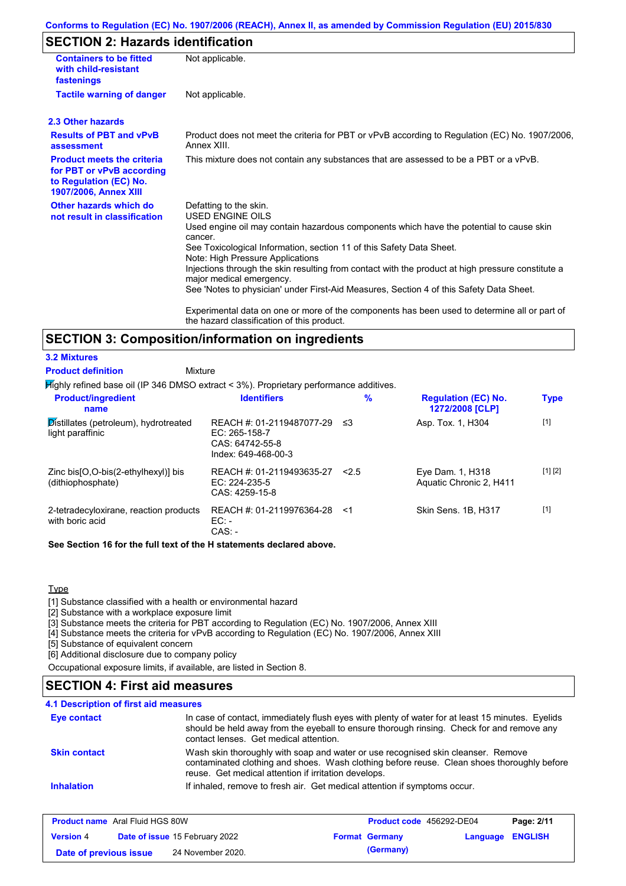### **Conforms to Regulation (EC) No. 1907/2006 (REACH), Annex II, as amended by Commission Regulation (EU) 2015/830**

# **SECTION 2: Hazards identification**

| <b>Containers to be fitted</b><br>with child-resistant<br>fastenings                                              | Not applicable.                                                                                                                                                                                                                                                                                                                                                                                                                                                                          |
|-------------------------------------------------------------------------------------------------------------------|------------------------------------------------------------------------------------------------------------------------------------------------------------------------------------------------------------------------------------------------------------------------------------------------------------------------------------------------------------------------------------------------------------------------------------------------------------------------------------------|
| <b>Tactile warning of danger</b>                                                                                  | Not applicable.                                                                                                                                                                                                                                                                                                                                                                                                                                                                          |
| 2.3 Other hazards                                                                                                 |                                                                                                                                                                                                                                                                                                                                                                                                                                                                                          |
| <b>Results of PBT and vPvB</b><br>assessment                                                                      | Product does not meet the criteria for PBT or vPvB according to Regulation (EC) No. 1907/2006,<br>Annex XIII.                                                                                                                                                                                                                                                                                                                                                                            |
| <b>Product meets the criteria</b><br>for PBT or vPvB according<br>to Regulation (EC) No.<br>1907/2006, Annex XIII | This mixture does not contain any substances that are assessed to be a PBT or a vPvB.                                                                                                                                                                                                                                                                                                                                                                                                    |
| Other hazards which do<br>not result in classification                                                            | Defatting to the skin.<br>USED ENGINE OILS<br>Used engine oil may contain hazardous components which have the potential to cause skin<br>cancer.<br>See Toxicological Information, section 11 of this Safety Data Sheet.<br>Note: High Pressure Applications<br>Injections through the skin resulting from contact with the product at high pressure constitute a<br>major medical emergency.<br>See 'Notes to physician' under First-Aid Measures, Section 4 of this Safety Data Sheet. |
|                                                                                                                   | Experimental data on one or more of the components has been used to determine all or part of<br>the hazard classification of this product.                                                                                                                                                                                                                                                                                                                                               |

## **SECTION 3: Composition/information on ingredients**

#### **3.2 Mixtures**

Mixture **Product definition**

Highly refined base oil (IP 346 DMSO extract < 3%). Proprietary performance additives.

| <b>Product/ingredient</b><br>name                                      | <b>Identifiers</b>                                                                     | $\%$  | <b>Regulation (EC) No.</b><br>1272/2008 [CLP] | <b>Type</b> |
|------------------------------------------------------------------------|----------------------------------------------------------------------------------------|-------|-----------------------------------------------|-------------|
| $\mathcal{D}$ istillates (petroleum), hydrotreated<br>light paraffinic | REACH #: 01-2119487077-29<br>$EC: 265-158-7$<br>CAS: 64742-55-8<br>Index: 649-468-00-3 | -≤3   | Asp. Tox. 1, H304                             | $[1]$       |
| Zinc bis [O, O-bis (2-ethylhexyl)] bis<br>(dithiophosphate)            | REACH #: 01-2119493635-27<br>EC: 224-235-5<br>CAS: 4259-15-8                           | 2.5   | Eye Dam. 1, H318<br>Aquatic Chronic 2, H411   | [1] [2]     |
| 2-tetradecyloxirane, reaction products<br>with boric acid              | REACH #: 01-2119976364-28<br>$EC:$ -<br>$CAS: -$                                       | - < 1 | Skin Sens. 1B, H317                           | $[1]$       |

**See Section 16 for the full text of the H statements declared above.**

#### Type

[1] Substance classified with a health or environmental hazard

[2] Substance with a workplace exposure limit

[3] Substance meets the criteria for PBT according to Regulation (EC) No. 1907/2006, Annex XIII

[4] Substance meets the criteria for vPvB according to Regulation (EC) No. 1907/2006, Annex XIII

[5] Substance of equivalent concern

[6] Additional disclosure due to company policy

Occupational exposure limits, if available, are listed in Section 8.

## **SECTION 4: First aid measures**

| Eye contact         | In case of contact, immediately flush eyes with plenty of water for at least 15 minutes. Eyelids<br>should be held away from the eyeball to ensure thorough rinsing. Check for and remove any<br>contact lenses. Get medical attention. |
|---------------------|-----------------------------------------------------------------------------------------------------------------------------------------------------------------------------------------------------------------------------------------|
| <b>Skin contact</b> | Wash skin thoroughly with soap and water or use recognised skin cleanser. Remove<br>contaminated clothing and shoes. Wash clothing before reuse. Clean shoes thoroughly before<br>reuse. Get medical attention if irritation develops.  |
| <b>Inhalation</b>   | If inhaled, remove to fresh air. Get medical attention if symptoms occur.                                                                                                                                                               |

| <b>Product name</b> Aral Fluid HGS 80W |  | <b>Product code</b> 456292-DE04       |  | Page: 2/11            |                         |  |
|----------------------------------------|--|---------------------------------------|--|-----------------------|-------------------------|--|
| <b>Version 4</b>                       |  | <b>Date of issue 15 February 2022</b> |  | <b>Format Germany</b> | <b>Language ENGLISH</b> |  |
| Date of previous issue                 |  | 24 November 2020.                     |  | (Germany)             |                         |  |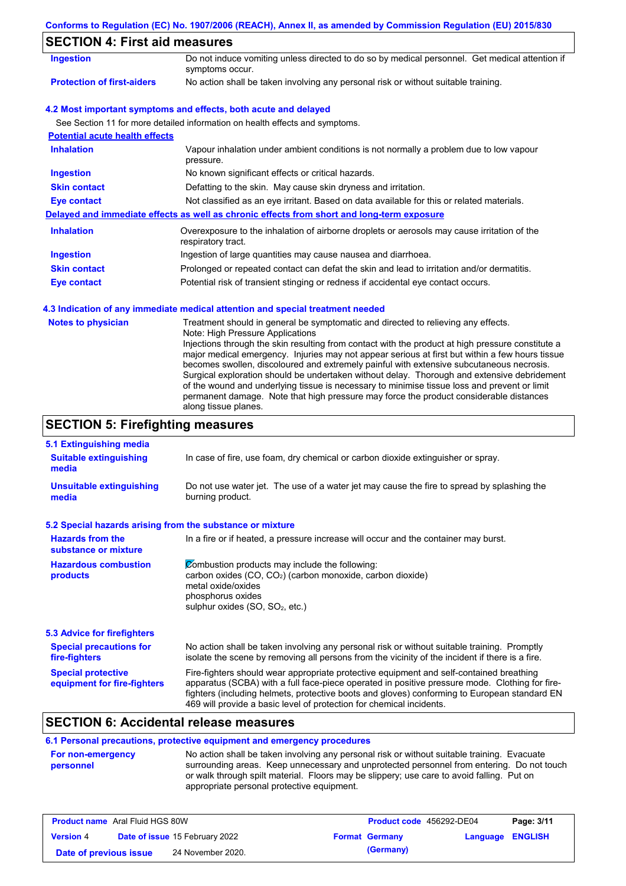|                                                                   | Conforms to Regulation (EC) No. 1907/2006 (REACH), Annex II, as amended by Commission Regulation (EU) 2015/830                                                                                                                                                                                                                                                                                                                                                                                                                                                                                                                                                                                                                             |
|-------------------------------------------------------------------|--------------------------------------------------------------------------------------------------------------------------------------------------------------------------------------------------------------------------------------------------------------------------------------------------------------------------------------------------------------------------------------------------------------------------------------------------------------------------------------------------------------------------------------------------------------------------------------------------------------------------------------------------------------------------------------------------------------------------------------------|
| <b>SECTION 4: First aid measures</b>                              |                                                                                                                                                                                                                                                                                                                                                                                                                                                                                                                                                                                                                                                                                                                                            |
| <b>Ingestion</b>                                                  | Do not induce vomiting unless directed to do so by medical personnel. Get medical attention if<br>symptoms occur.                                                                                                                                                                                                                                                                                                                                                                                                                                                                                                                                                                                                                          |
| <b>Protection of first-aiders</b>                                 | No action shall be taken involving any personal risk or without suitable training.                                                                                                                                                                                                                                                                                                                                                                                                                                                                                                                                                                                                                                                         |
|                                                                   | 4.2 Most important symptoms and effects, both acute and delayed                                                                                                                                                                                                                                                                                                                                                                                                                                                                                                                                                                                                                                                                            |
|                                                                   | See Section 11 for more detailed information on health effects and symptoms.                                                                                                                                                                                                                                                                                                                                                                                                                                                                                                                                                                                                                                                               |
| <b>Potential acute health effects</b>                             |                                                                                                                                                                                                                                                                                                                                                                                                                                                                                                                                                                                                                                                                                                                                            |
| <b>Inhalation</b>                                                 | Vapour inhalation under ambient conditions is not normally a problem due to low vapour<br>pressure.                                                                                                                                                                                                                                                                                                                                                                                                                                                                                                                                                                                                                                        |
| <b>Ingestion</b>                                                  | No known significant effects or critical hazards.                                                                                                                                                                                                                                                                                                                                                                                                                                                                                                                                                                                                                                                                                          |
| <b>Skin contact</b>                                               | Defatting to the skin. May cause skin dryness and irritation.                                                                                                                                                                                                                                                                                                                                                                                                                                                                                                                                                                                                                                                                              |
| <b>Eye contact</b>                                                | Not classified as an eye irritant. Based on data available for this or related materials.                                                                                                                                                                                                                                                                                                                                                                                                                                                                                                                                                                                                                                                  |
|                                                                   | Delayed and immediate effects as well as chronic effects from short and long-term exposure                                                                                                                                                                                                                                                                                                                                                                                                                                                                                                                                                                                                                                                 |
| <b>Inhalation</b>                                                 | Overexposure to the inhalation of airborne droplets or aerosols may cause irritation of the<br>respiratory tract.                                                                                                                                                                                                                                                                                                                                                                                                                                                                                                                                                                                                                          |
| <b>Ingestion</b>                                                  | Ingestion of large quantities may cause nausea and diarrhoea.                                                                                                                                                                                                                                                                                                                                                                                                                                                                                                                                                                                                                                                                              |
| <b>Skin contact</b>                                               | Prolonged or repeated contact can defat the skin and lead to irritation and/or dermatitis.                                                                                                                                                                                                                                                                                                                                                                                                                                                                                                                                                                                                                                                 |
| <b>Eye contact</b>                                                | Potential risk of transient stinging or redness if accidental eye contact occurs.                                                                                                                                                                                                                                                                                                                                                                                                                                                                                                                                                                                                                                                          |
|                                                                   | 4.3 Indication of any immediate medical attention and special treatment needed                                                                                                                                                                                                                                                                                                                                                                                                                                                                                                                                                                                                                                                             |
| <b>Notes to physician</b>                                         | Treatment should in general be symptomatic and directed to relieving any effects.<br>Note: High Pressure Applications<br>Injections through the skin resulting from contact with the product at high pressure constitute a<br>major medical emergency. Injuries may not appear serious at first but within a few hours tissue<br>becomes swollen, discoloured and extremely painful with extensive subcutaneous necrosis.<br>Surgical exploration should be undertaken without delay. Thorough and extensive debridement<br>of the wound and underlying tissue is necessary to minimise tissue loss and prevent or limit<br>permanent damage. Note that high pressure may force the product considerable distances<br>along tissue planes. |
| <b>SECTION 5: Firefighting measures</b>                           |                                                                                                                                                                                                                                                                                                                                                                                                                                                                                                                                                                                                                                                                                                                                            |
| 5.1 Extinguishing media<br><b>Suitable extinguishing</b><br>media | In case of fire, use foam, dry chemical or carbon dioxide extinguisher or spray.                                                                                                                                                                                                                                                                                                                                                                                                                                                                                                                                                                                                                                                           |
| <b>Unsuitable extinguishing</b><br>media                          | Do not use water jet. The use of a water jet may cause the fire to spread by splashing the<br>burning product.                                                                                                                                                                                                                                                                                                                                                                                                                                                                                                                                                                                                                             |

## **5.2 Special hazards arising from the substance or mixture**

| <b>Hazards from the</b><br>substance or mixture          | In a fire or if heated, a pressure increase will occur and the container may burst.                                                                                                                                                                                                                                                                               |
|----------------------------------------------------------|-------------------------------------------------------------------------------------------------------------------------------------------------------------------------------------------------------------------------------------------------------------------------------------------------------------------------------------------------------------------|
| <b>Hazardous combustion</b><br>products                  | Combustion products may include the following:<br>carbon oxides (CO, CO <sub>2</sub> ) (carbon monoxide, carbon dioxide)<br>metal oxide/oxides<br>phosphorus oxides<br>sulphur oxides $(SO, SO2, etc.)$                                                                                                                                                           |
| <b>5.3 Advice for firefighters</b>                       |                                                                                                                                                                                                                                                                                                                                                                   |
| <b>Special precautions for</b><br>fire-fighters          | No action shall be taken involving any personal risk or without suitable training. Promptly<br>isolate the scene by removing all persons from the vicinity of the incident if there is a fire.                                                                                                                                                                    |
| <b>Special protective</b><br>equipment for fire-fighters | Fire-fighters should wear appropriate protective equipment and self-contained breathing<br>apparatus (SCBA) with a full face-piece operated in positive pressure mode. Clothing for fire-<br>fighters (including helmets, protective boots and gloves) conforming to European standard EN<br>469 will provide a basic level of protection for chemical incidents. |

# **SECTION 6: Accidental release measures**

## **6.1 Personal precautions, protective equipment and emergency procedures**

| <b>For non-emergency</b> | No action shall be taken involving any personal risk or without suitable training. Evacuate |
|--------------------------|---------------------------------------------------------------------------------------------|
| personnel                | surrounding areas. Keep unnecessary and unprotected personnel from entering. Do not touch   |
|                          | or walk through spilt material. Floors may be slippery; use care to avoid falling. Put on   |
|                          | appropriate personal protective equipment.                                                  |

| <b>Product name</b> Aral Fluid HGS 80W |                                       | Product code 456292-DE04 |                  | Page: 3/11 |
|----------------------------------------|---------------------------------------|--------------------------|------------------|------------|
| <b>Version 4</b>                       | <b>Date of issue 15 February 2022</b> | <b>Format Germany</b>    | Language ENGLISH |            |
| Date of previous issue                 | 24 November 2020.                     | (Germany)                |                  |            |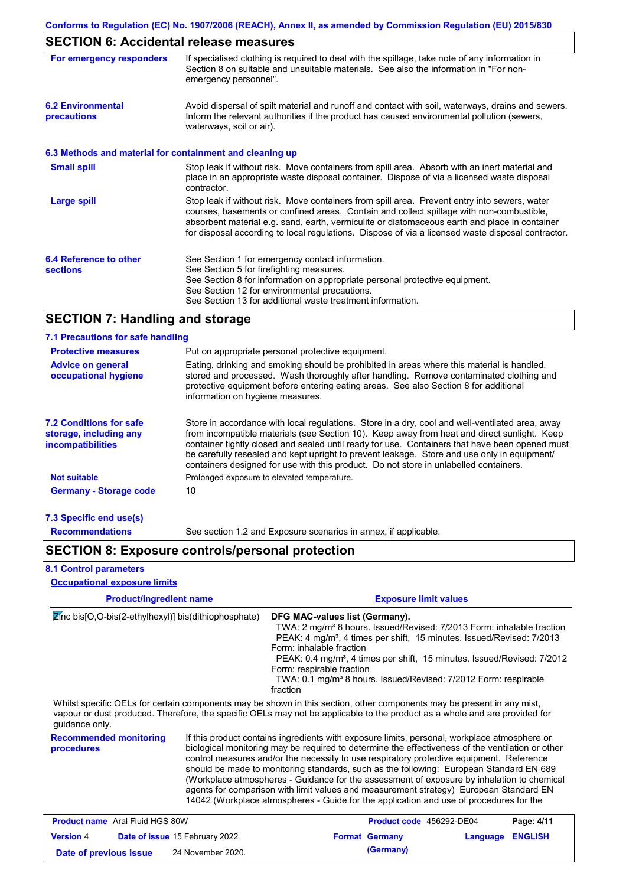# **SECTION 6: Accidental release measures**

| For emergency responders                                 | If specialised clothing is required to deal with the spillage, take note of any information in<br>Section 8 on suitable and unsuitable materials. See also the information in "For non-<br>emergency personnel".                                                                                                                                                                               |
|----------------------------------------------------------|------------------------------------------------------------------------------------------------------------------------------------------------------------------------------------------------------------------------------------------------------------------------------------------------------------------------------------------------------------------------------------------------|
| <b>6.2 Environmental</b><br>precautions                  | Avoid dispersal of spilt material and runoff and contact with soil, waterways, drains and sewers.<br>Inform the relevant authorities if the product has caused environmental pollution (sewers,<br>waterways, soil or air).                                                                                                                                                                    |
| 6.3 Methods and material for containment and cleaning up |                                                                                                                                                                                                                                                                                                                                                                                                |
| <b>Small spill</b>                                       | Stop leak if without risk. Move containers from spill area. Absorb with an inert material and<br>place in an appropriate waste disposal container. Dispose of via a licensed waste disposal<br>contractor.                                                                                                                                                                                     |
| <b>Large spill</b>                                       | Stop leak if without risk. Move containers from spill area. Prevent entry into sewers, water<br>courses, basements or confined areas. Contain and collect spillage with non-combustible,<br>absorbent material e.g. sand, earth, vermiculite or diatomaceous earth and place in container<br>for disposal according to local regulations. Dispose of via a licensed waste disposal contractor. |
| 6.4 Reference to other<br><b>sections</b>                | See Section 1 for emergency contact information.<br>See Section 5 for firefighting measures.<br>See Section 8 for information on appropriate personal protective equipment.<br>See Section 12 for environmental precautions.<br>See Section 13 for additional waste treatment information.                                                                                                     |

# **SECTION 7: Handling and storage**

### **7.1 Precautions for safe handling**

| Put on appropriate personal protective equipment.<br><b>Protective measures</b>      |                                                                                                                                                                                                                                                                                                                                                                                                                                                                                          |  |  |
|--------------------------------------------------------------------------------------|------------------------------------------------------------------------------------------------------------------------------------------------------------------------------------------------------------------------------------------------------------------------------------------------------------------------------------------------------------------------------------------------------------------------------------------------------------------------------------------|--|--|
| <b>Advice on general</b><br>occupational hygiene                                     | Eating, drinking and smoking should be prohibited in areas where this material is handled,<br>stored and processed. Wash thoroughly after handling. Remove contaminated clothing and<br>protective equipment before entering eating areas. See also Section 8 for additional<br>information on hygiene measures.                                                                                                                                                                         |  |  |
| <b>7.2 Conditions for safe</b><br>storage, including any<br><b>incompatibilities</b> | Store in accordance with local regulations. Store in a dry, cool and well-ventilated area, away<br>from incompatible materials (see Section 10). Keep away from heat and direct sunlight. Keep<br>container tightly closed and sealed until ready for use. Containers that have been opened must<br>be carefully resealed and kept upright to prevent leakage. Store and use only in equipment/<br>containers designed for use with this product. Do not store in unlabelled containers. |  |  |
| <b>Not suitable</b>                                                                  | Prolonged exposure to elevated temperature.                                                                                                                                                                                                                                                                                                                                                                                                                                              |  |  |
| <b>Germany - Storage code</b>                                                        | 10                                                                                                                                                                                                                                                                                                                                                                                                                                                                                       |  |  |
| 7.3 Specific end use(s)                                                              |                                                                                                                                                                                                                                                                                                                                                                                                                                                                                          |  |  |

**Recommendations**

See section 1.2 and Exposure scenarios in annex, if applicable.

# **SECTION 8: Exposure controls/personal protection**

### **8.1 Control parameters**

**Occupational exposure limits**

| <b>Product/ingredient name</b>                                              |  | <b>Exposure limit values</b>                                                                                                                                                                                                                                                                                                                                                                                                                                                                                                                                                                                                                                              |  |  |  |  |
|-----------------------------------------------------------------------------|--|---------------------------------------------------------------------------------------------------------------------------------------------------------------------------------------------------------------------------------------------------------------------------------------------------------------------------------------------------------------------------------------------------------------------------------------------------------------------------------------------------------------------------------------------------------------------------------------------------------------------------------------------------------------------------|--|--|--|--|
| $\overline{\mathbf{z}}$ inc bis[O,O-bis(2-ethylhexyl)] bis(dithiophosphate) |  | DFG MAC-values list (Germany).<br>TWA: 2 mg/m <sup>3</sup> 8 hours. Issued/Revised: 7/2013 Form: inhalable fraction<br>PEAK: 4 mg/m <sup>3</sup> , 4 times per shift, 15 minutes. Issued/Revised: 7/2013<br>Form: inhalable fraction<br>PEAK: 0.4 mg/m <sup>3</sup> , 4 times per shift, 15 minutes. Issued/Revised: 7/2012<br>Form: respirable fraction<br>TWA: 0.1 mg/m <sup>3</sup> 8 hours. Issued/Revised: 7/2012 Form: respirable<br>fraction                                                                                                                                                                                                                       |  |  |  |  |
| guidance only.                                                              |  | Whilst specific OELs for certain components may be shown in this section, other components may be present in any mist,<br>vapour or dust produced. Therefore, the specific OELs may not be applicable to the product as a whole and are provided for                                                                                                                                                                                                                                                                                                                                                                                                                      |  |  |  |  |
| <b>Recommended monitoring</b><br><b>procedures</b>                          |  | If this product contains ingredients with exposure limits, personal, workplace atmosphere or<br>biological monitoring may be required to determine the effectiveness of the ventilation or other<br>control measures and/or the necessity to use respiratory protective equipment. Reference<br>should be made to monitoring standards, such as the following: European Standard EN 689<br>(Workplace atmospheres - Guidance for the assessment of exposure by inhalation to chemical<br>agents for comparison with limit values and measurement strategy) European Standard EN<br>14042 (Workplace atmospheres - Guide for the application and use of procedures for the |  |  |  |  |

| <b>Product name</b> Aral Fluid HGS 80W |  |                                       | Product code 456292-DE04 |                       | Page: 4/11              |  |
|----------------------------------------|--|---------------------------------------|--------------------------|-----------------------|-------------------------|--|
| <b>Version 4</b>                       |  | <b>Date of issue 15 February 2022</b> |                          | <b>Format Germany</b> | <b>Language ENGLISH</b> |  |
| Date of previous issue                 |  | 24 November 2020.                     |                          | (Germany)             |                         |  |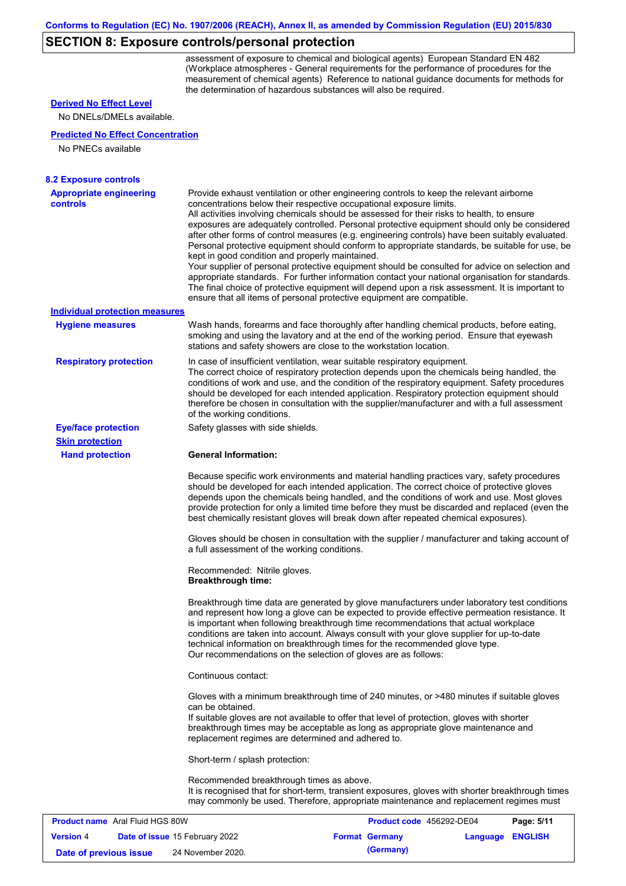# **SECTION 8: Exposure controls/personal protection**

assessment of exposure to chemical and biological agents) European Standard EN 482 (Workplace atmospheres - General requirements for the performance of procedures for the measurement of chemical agents) Reference to national guidance documents for methods for the determination of hazardous substances will also be required.

### **Derived No Effect Level**

No DNELs/DMELs available.

#### **Predicted No Effect Concentration**

No PNECs available

| <b>Appropriate engineering</b>        | Provide exhaust ventilation or other engineering controls to keep the relevant airborne                                                                                                                                                                                                                                                                                                                                                                                                                                            |
|---------------------------------------|------------------------------------------------------------------------------------------------------------------------------------------------------------------------------------------------------------------------------------------------------------------------------------------------------------------------------------------------------------------------------------------------------------------------------------------------------------------------------------------------------------------------------------|
| controls                              | concentrations below their respective occupational exposure limits.<br>All activities involving chemicals should be assessed for their risks to health, to ensure                                                                                                                                                                                                                                                                                                                                                                  |
|                                       | exposures are adequately controlled. Personal protective equipment should only be considered<br>after other forms of control measures (e.g. engineering controls) have been suitably evaluated.<br>Personal protective equipment should conform to appropriate standards, be suitable for use, be<br>kept in good condition and properly maintained.                                                                                                                                                                               |
|                                       | Your supplier of personal protective equipment should be consulted for advice on selection and<br>appropriate standards. For further information contact your national organisation for standards.<br>The final choice of protective equipment will depend upon a risk assessment. It is important to<br>ensure that all items of personal protective equipment are compatible.                                                                                                                                                    |
| <b>Individual protection measures</b> |                                                                                                                                                                                                                                                                                                                                                                                                                                                                                                                                    |
| <b>Hygiene measures</b>               | Wash hands, forearms and face thoroughly after handling chemical products, before eating,<br>smoking and using the lavatory and at the end of the working period. Ensure that eyewash<br>stations and safety showers are close to the workstation location.                                                                                                                                                                                                                                                                        |
| <b>Respiratory protection</b>         | In case of insufficient ventilation, wear suitable respiratory equipment.<br>The correct choice of respiratory protection depends upon the chemicals being handled, the<br>conditions of work and use, and the condition of the respiratory equipment. Safety procedures<br>should be developed for each intended application. Respiratory protection equipment should<br>therefore be chosen in consultation with the supplier/manufacturer and with a full assessment<br>of the working conditions.                              |
| <b>Eye/face protection</b>            | Safety glasses with side shields.                                                                                                                                                                                                                                                                                                                                                                                                                                                                                                  |
| <b>Skin protection</b>                |                                                                                                                                                                                                                                                                                                                                                                                                                                                                                                                                    |
| <b>Hand protection</b>                | <b>General Information:</b>                                                                                                                                                                                                                                                                                                                                                                                                                                                                                                        |
|                                       | Because specific work environments and material handling practices vary, safety procedures<br>should be developed for each intended application. The correct choice of protective gloves<br>depends upon the chemicals being handled, and the conditions of work and use. Most gloves<br>provide protection for only a limited time before they must be discarded and replaced (even the<br>best chemically resistant gloves will break down after repeated chemical exposures).                                                   |
|                                       | Gloves should be chosen in consultation with the supplier / manufacturer and taking account of<br>a full assessment of the working conditions.                                                                                                                                                                                                                                                                                                                                                                                     |
|                                       | Recommended: Nitrile gloves.<br><b>Breakthrough time:</b>                                                                                                                                                                                                                                                                                                                                                                                                                                                                          |
|                                       | Breakthrough time data are generated by glove manufacturers under laboratory test conditions<br>and represent how long a glove can be expected to provide effective permeation resistance. It<br>is important when following breakthrough time recommendations that actual workplace<br>conditions are taken into account. Always consult with your glove supplier for up-to-date<br>technical information on breakthrough times for the recommended glove type.<br>Our recommendations on the selection of gloves are as follows: |
|                                       | Continuous contact:                                                                                                                                                                                                                                                                                                                                                                                                                                                                                                                |
|                                       | Gloves with a minimum breakthrough time of 240 minutes, or >480 minutes if suitable gloves<br>can be obtained.                                                                                                                                                                                                                                                                                                                                                                                                                     |
|                                       | If suitable gloves are not available to offer that level of protection, gloves with shorter<br>breakthrough times may be acceptable as long as appropriate glove maintenance and<br>replacement regimes are determined and adhered to.                                                                                                                                                                                                                                                                                             |
|                                       | Short-term / splash protection:                                                                                                                                                                                                                                                                                                                                                                                                                                                                                                    |
|                                       | Recommended breakthrough times as above.<br>It is recognised that for short-term, transient exposures, gloves with shorter breakthrough times<br>may commonly be used. Therefore, appropriate maintenance and replacement regimes must                                                                                                                                                                                                                                                                                             |

| <b>Product name</b> Aral Fluid HGS 80W |  |                                       | Product code 456292-DE04 |                       | Page: 5/11       |  |
|----------------------------------------|--|---------------------------------------|--------------------------|-----------------------|------------------|--|
| <b>Version 4</b>                       |  | <b>Date of issue 15 February 2022</b> |                          | <b>Format Germany</b> | Language ENGLISH |  |
| Date of previous issue                 |  | 24 November 2020.                     |                          | (Germany)             |                  |  |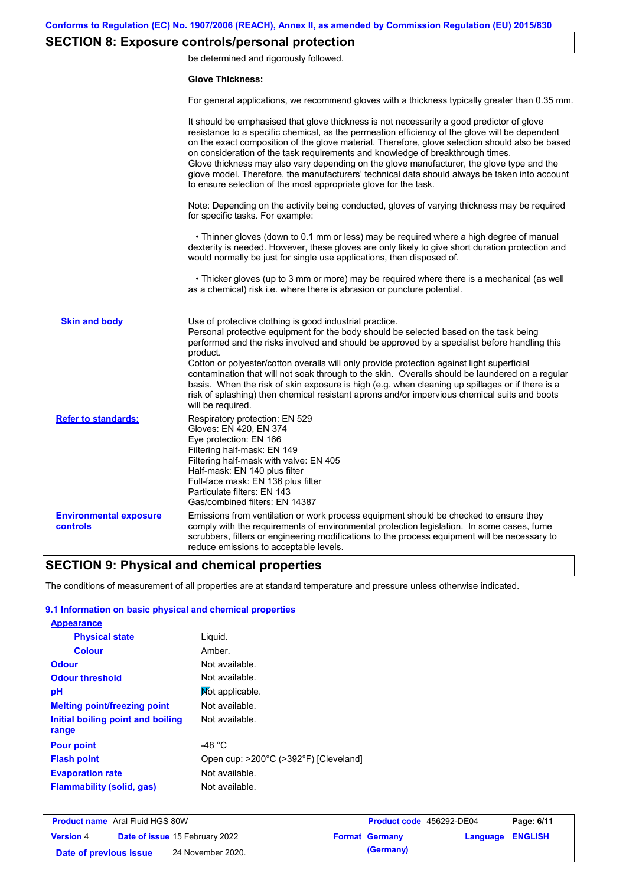# **SECTION 8: Exposure controls/personal protection**

be determined and rigorously followed.

#### **Glove Thickness:**

For general applications, we recommend gloves with a thickness typically greater than 0.35 mm.

|                                           | It should be emphasised that glove thickness is not necessarily a good predictor of glove<br>resistance to a specific chemical, as the permeation efficiency of the glove will be dependent<br>on the exact composition of the glove material. Therefore, glove selection should also be based<br>on consideration of the task requirements and knowledge of breakthrough times.<br>Glove thickness may also vary depending on the glove manufacturer, the glove type and the<br>glove model. Therefore, the manufacturers' technical data should always be taken into account<br>to ensure selection of the most appropriate glove for the task.                                     |
|-------------------------------------------|---------------------------------------------------------------------------------------------------------------------------------------------------------------------------------------------------------------------------------------------------------------------------------------------------------------------------------------------------------------------------------------------------------------------------------------------------------------------------------------------------------------------------------------------------------------------------------------------------------------------------------------------------------------------------------------|
|                                           | Note: Depending on the activity being conducted, gloves of varying thickness may be required<br>for specific tasks. For example:                                                                                                                                                                                                                                                                                                                                                                                                                                                                                                                                                      |
|                                           | • Thinner gloves (down to 0.1 mm or less) may be required where a high degree of manual<br>dexterity is needed. However, these gloves are only likely to give short duration protection and<br>would normally be just for single use applications, then disposed of.                                                                                                                                                                                                                                                                                                                                                                                                                  |
|                                           | • Thicker gloves (up to 3 mm or more) may be required where there is a mechanical (as well<br>as a chemical) risk i.e. where there is abrasion or puncture potential.                                                                                                                                                                                                                                                                                                                                                                                                                                                                                                                 |
| <b>Skin and body</b>                      | Use of protective clothing is good industrial practice.<br>Personal protective equipment for the body should be selected based on the task being<br>performed and the risks involved and should be approved by a specialist before handling this<br>product.<br>Cotton or polyester/cotton overalls will only provide protection against light superficial<br>contamination that will not soak through to the skin. Overalls should be laundered on a regular<br>basis. When the risk of skin exposure is high (e.g. when cleaning up spillages or if there is a<br>risk of splashing) then chemical resistant aprons and/or impervious chemical suits and boots<br>will be required. |
| <b>Refer to standards:</b>                | Respiratory protection: EN 529<br>Gloves: EN 420, EN 374<br>Eye protection: EN 166<br>Filtering half-mask: EN 149<br>Filtering half-mask with valve: EN 405<br>Half-mask: EN 140 plus filter<br>Full-face mask: EN 136 plus filter<br>Particulate filters: EN 143<br>Gas/combined filters: EN 14387                                                                                                                                                                                                                                                                                                                                                                                   |
| <b>Environmental exposure</b><br>controls | Emissions from ventilation or work process equipment should be checked to ensure they<br>comply with the requirements of environmental protection legislation. In some cases, fume<br>scrubbers, filters or engineering modifications to the process equipment will be necessary to<br>reduce emissions to acceptable levels.                                                                                                                                                                                                                                                                                                                                                         |

# **SECTION 9: Physical and chemical properties**

The conditions of measurement of all properties are at standard temperature and pressure unless otherwise indicated.

### **9.1 Information on basic physical and chemical properties**

| <b>Appearance</b>                          |                                       |
|--------------------------------------------|---------------------------------------|
| <b>Physical state</b>                      | Liquid.                               |
| <b>Colour</b>                              | Amber.                                |
| <b>Odour</b>                               | Not available.                        |
| <b>Odour threshold</b>                     | Not available.                        |
| рH                                         | Mot applicable.                       |
| <b>Melting point/freezing point</b>        | Not available.                        |
| Initial boiling point and boiling<br>range | Not available.                        |
| <b>Pour point</b>                          | -48 °C                                |
| <b>Flash point</b>                         | Open cup: >200°C (>392°F) [Cleveland] |
| <b>Evaporation rate</b>                    | Not available.                        |
| Flammability (solid, gas)                  | Not available.                        |

| <b>Product name</b> Aral Fluid HGS 80W |  |                                       | <b>Product code</b> 456292-DE04 |                       | Page: 6/11              |  |
|----------------------------------------|--|---------------------------------------|---------------------------------|-----------------------|-------------------------|--|
| <b>Version 4</b>                       |  | <b>Date of issue 15 February 2022</b> |                                 | <b>Format Germany</b> | <b>Language ENGLISH</b> |  |
| Date of previous issue                 |  | 24 November 2020.                     |                                 | (Germany)             |                         |  |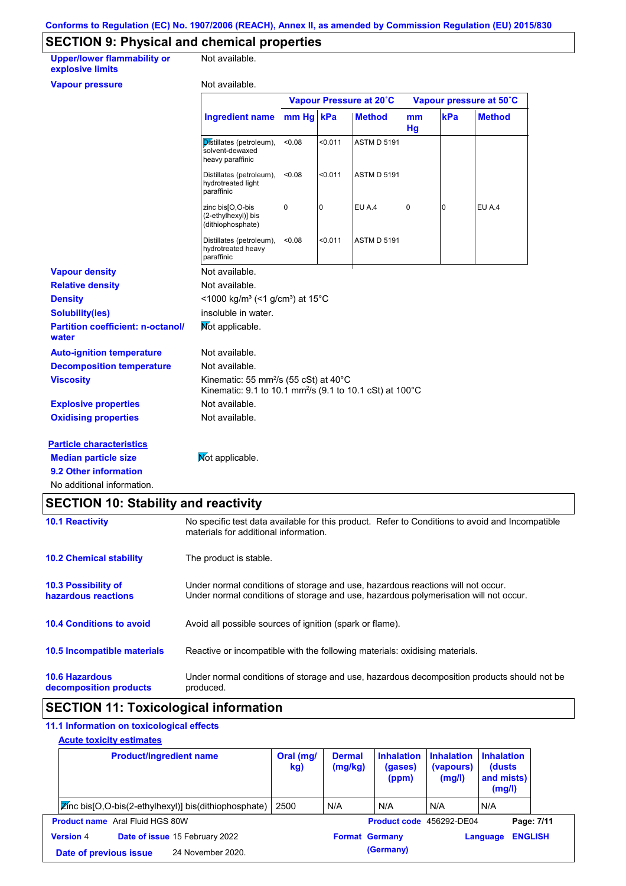# **SECTION 9: Physical and chemical properties**

| <b>Upper/lower flammability or</b><br>explosive limits | Not available.                                                                                                                      |        |         |                         |          |     |                         |  |
|--------------------------------------------------------|-------------------------------------------------------------------------------------------------------------------------------------|--------|---------|-------------------------|----------|-----|-------------------------|--|
| <b>Vapour pressure</b>                                 | Not available.                                                                                                                      |        |         |                         |          |     |                         |  |
|                                                        |                                                                                                                                     |        |         | Vapour Pressure at 20°C |          |     | Vapour pressure at 50°C |  |
|                                                        | Ingredient name mm Hg   kPa                                                                                                         |        |         | <b>Method</b>           | mm<br>Hg | kPa | <b>Method</b>           |  |
|                                                        | Distillates (petroleum),<br>solvent-dewaxed<br>heavy paraffinic                                                                     | < 0.08 | < 0.011 | <b>ASTM D 5191</b>      |          |     |                         |  |
|                                                        | Distillates (petroleum),<br>hydrotreated light<br>paraffinic                                                                        | <0.08  | < 0.011 | <b>ASTM D 5191</b>      |          |     |                         |  |
|                                                        | zinc bis[O,O-bis<br>(2-ethylhexyl)] bis<br>(dithiophosphate)                                                                        | 0      | 0       | EU A.4                  | 0        | 0   | EU A.4                  |  |
|                                                        | Distillates (petroleum),<br>hydrotreated heavy<br>paraffinic                                                                        | <0.08  | < 0.011 | <b>ASTM D 5191</b>      |          |     |                         |  |
| <b>Vapour density</b>                                  | Not available.                                                                                                                      |        |         |                         |          |     |                         |  |
| <b>Relative density</b>                                | Not available.                                                                                                                      |        |         |                         |          |     |                         |  |
| <b>Density</b>                                         | <1000 kg/m <sup>3</sup> (<1 g/cm <sup>3</sup> ) at 15°C                                                                             |        |         |                         |          |     |                         |  |
| <b>Solubility(ies)</b>                                 | insoluble in water.                                                                                                                 |        |         |                         |          |     |                         |  |
| <b>Partition coefficient: n-octanol/</b><br>water      | Mot applicable.                                                                                                                     |        |         |                         |          |     |                         |  |
| <b>Auto-ignition temperature</b>                       | Not available.                                                                                                                      |        |         |                         |          |     |                         |  |
| <b>Decomposition temperature</b>                       | Not available.                                                                                                                      |        |         |                         |          |     |                         |  |
| <b>Viscosity</b>                                       | Kinematic: 55 mm <sup>2</sup> /s (55 cSt) at $40^{\circ}$ C<br>Kinematic: 9.1 to 10.1 mm <sup>2</sup> /s (9.1 to 10.1 cSt) at 100°C |        |         |                         |          |     |                         |  |
| <b>Explosive properties</b>                            | Not available.                                                                                                                      |        |         |                         |          |     |                         |  |
| <b>Oxidising properties</b>                            | Not available.                                                                                                                      |        |         |                         |          |     |                         |  |
| <b>Particle characteristics</b>                        |                                                                                                                                     |        |         |                         |          |     |                         |  |
| <b>Median particle size</b>                            | Mot applicable.                                                                                                                     |        |         |                         |          |     |                         |  |
| 9.2 Other information                                  |                                                                                                                                     |        |         |                         |          |     |                         |  |
| No additional information.                             |                                                                                                                                     |        |         |                         |          |     |                         |  |

# **SECTION 10: Stability and reactivity**

| <b>10.1 Reactivity</b>                            | No specific test data available for this product. Refer to Conditions to avoid and Incompatible<br>materials for additional information.                                |
|---------------------------------------------------|-------------------------------------------------------------------------------------------------------------------------------------------------------------------------|
| <b>10.2 Chemical stability</b>                    | The product is stable.                                                                                                                                                  |
| <b>10.3 Possibility of</b><br>hazardous reactions | Under normal conditions of storage and use, hazardous reactions will not occur.<br>Under normal conditions of storage and use, hazardous polymerisation will not occur. |
| <b>10.4 Conditions to avoid</b>                   | Avoid all possible sources of ignition (spark or flame).                                                                                                                |
| 10.5 Incompatible materials                       | Reactive or incompatible with the following materials: oxidising materials.                                                                                             |
| <b>10.6 Hazardous</b><br>decomposition products   | Under normal conditions of storage and use, hazardous decomposition products should not be<br>produced.                                                                 |

# **SECTION 11: Toxicological information**

## **11.1 Information on toxicological effects**

### **Acute toxicity estimates**

| <b>Product/ingredient name</b>                          | Oral (mg/<br>kg) | <b>Dermal</b><br>(mg/kg) | <b>Inhalation</b><br>(gases)<br>(ppm) | <b>Inhalation</b><br>(vapours)<br>(mg/l) | <b>Inhalation</b><br>(dusts)<br>and mists)<br>(mg/l) |                |
|---------------------------------------------------------|------------------|--------------------------|---------------------------------------|------------------------------------------|------------------------------------------------------|----------------|
| Zinc bis [O,O-bis (2-ethylhexyl)] bis (dithiophosphate) | 2500             | N/A                      | N/A                                   | N/A                                      | IN/A                                                 |                |
| <b>Product name</b> Aral Fluid HGS 80W                  |                  |                          | Product code 456292-DE04              |                                          |                                                      | Page: 7/11     |
| Date of issue 15 February 2022<br><b>Version 4</b>      |                  | <b>Format Germany</b>    |                                       |                                          | Language                                             | <b>ENGLISH</b> |
| 24 November 2020.<br>Date of previous issue             |                  |                          | (Germany)                             |                                          |                                                      |                |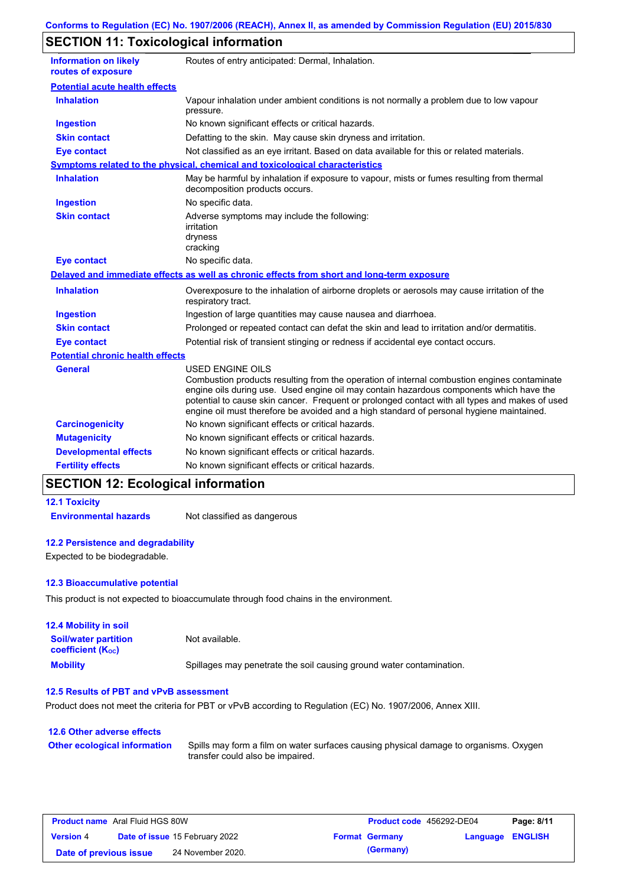# **SECTION 11: Toxicological information**

| <b>Information on likely</b><br>routes of exposure | Routes of entry anticipated: Dermal, Inhalation.                                                                                                                                                                                                                                                                                                                                                                |
|----------------------------------------------------|-----------------------------------------------------------------------------------------------------------------------------------------------------------------------------------------------------------------------------------------------------------------------------------------------------------------------------------------------------------------------------------------------------------------|
| <b>Potential acute health effects</b>              |                                                                                                                                                                                                                                                                                                                                                                                                                 |
| <b>Inhalation</b>                                  | Vapour inhalation under ambient conditions is not normally a problem due to low vapour<br>pressure.                                                                                                                                                                                                                                                                                                             |
| <b>Ingestion</b>                                   | No known significant effects or critical hazards.                                                                                                                                                                                                                                                                                                                                                               |
| <b>Skin contact</b>                                | Defatting to the skin. May cause skin dryness and irritation.                                                                                                                                                                                                                                                                                                                                                   |
| <b>Eye contact</b>                                 | Not classified as an eye irritant. Based on data available for this or related materials.                                                                                                                                                                                                                                                                                                                       |
|                                                    | Symptoms related to the physical, chemical and toxicological characteristics                                                                                                                                                                                                                                                                                                                                    |
| <b>Inhalation</b>                                  | May be harmful by inhalation if exposure to vapour, mists or fumes resulting from thermal<br>decomposition products occurs.                                                                                                                                                                                                                                                                                     |
| <b>Ingestion</b>                                   | No specific data.                                                                                                                                                                                                                                                                                                                                                                                               |
| <b>Skin contact</b>                                | Adverse symptoms may include the following:<br>irritation<br>dryness<br>cracking                                                                                                                                                                                                                                                                                                                                |
| <b>Eye contact</b>                                 | No specific data.                                                                                                                                                                                                                                                                                                                                                                                               |
|                                                    | Delayed and immediate effects as well as chronic effects from short and long-term exposure                                                                                                                                                                                                                                                                                                                      |
| <b>Inhalation</b>                                  | Overexposure to the inhalation of airborne droplets or aerosols may cause irritation of the<br>respiratory tract.                                                                                                                                                                                                                                                                                               |
| <b>Ingestion</b>                                   | Ingestion of large quantities may cause nausea and diarrhoea.                                                                                                                                                                                                                                                                                                                                                   |
| <b>Skin contact</b>                                | Prolonged or repeated contact can defat the skin and lead to irritation and/or dermatitis.                                                                                                                                                                                                                                                                                                                      |
| <b>Eye contact</b>                                 | Potential risk of transient stinging or redness if accidental eye contact occurs.                                                                                                                                                                                                                                                                                                                               |
| <b>Potential chronic health effects</b>            |                                                                                                                                                                                                                                                                                                                                                                                                                 |
| <b>General</b>                                     | <b>USED ENGINE OILS</b><br>Combustion products resulting from the operation of internal combustion engines contaminate<br>engine oils during use. Used engine oil may contain hazardous components which have the<br>potential to cause skin cancer. Frequent or prolonged contact with all types and makes of used<br>engine oil must therefore be avoided and a high standard of personal hygiene maintained. |
| <b>Carcinogenicity</b>                             | No known significant effects or critical hazards.                                                                                                                                                                                                                                                                                                                                                               |
| <b>Mutagenicity</b>                                | No known significant effects or critical hazards.                                                                                                                                                                                                                                                                                                                                                               |
| <b>Developmental effects</b>                       | No known significant effects or critical hazards.                                                                                                                                                                                                                                                                                                                                                               |
| <b>Fertility effects</b>                           | No known significant effects or critical hazards.                                                                                                                                                                                                                                                                                                                                                               |

# **SECTION 12: Ecological information**

**12.1 Toxicity**

**Environmental hazards** Not classified as dangerous

#### **12.2 Persistence and degradability**

Expected to be biodegradable.

#### **12.3 Bioaccumulative potential**

This product is not expected to bioaccumulate through food chains in the environment.

| <b>12.4 Mobility in soil</b>                            |                                                                      |
|---------------------------------------------------------|----------------------------------------------------------------------|
| <b>Soil/water partition</b><br><b>coefficient (Koc)</b> | Not available.                                                       |
| <b>Mobility</b>                                         | Spillages may penetrate the soil causing ground water contamination. |

### **12.5 Results of PBT and vPvB assessment**

Product does not meet the criteria for PBT or vPvB according to Regulation (EC) No. 1907/2006, Annex XIII.

| 12.6 Other adverse effects          |                                                                                                                           |
|-------------------------------------|---------------------------------------------------------------------------------------------------------------------------|
| <b>Other ecological information</b> | Spills may form a film on water surfaces causing physical damage to organisms. Oxygen<br>transfer could also be impaired. |

| <b>Product name</b> Aral Fluid HGS 80W |  | <b>Product code</b> 456292-DE04       |  | Page: 8/11            |                         |  |
|----------------------------------------|--|---------------------------------------|--|-----------------------|-------------------------|--|
| <b>Version 4</b>                       |  | <b>Date of issue 15 February 2022</b> |  | <b>Format Germany</b> | <b>Language ENGLISH</b> |  |
| Date of previous issue                 |  | 24 November 2020.                     |  | (Germany)             |                         |  |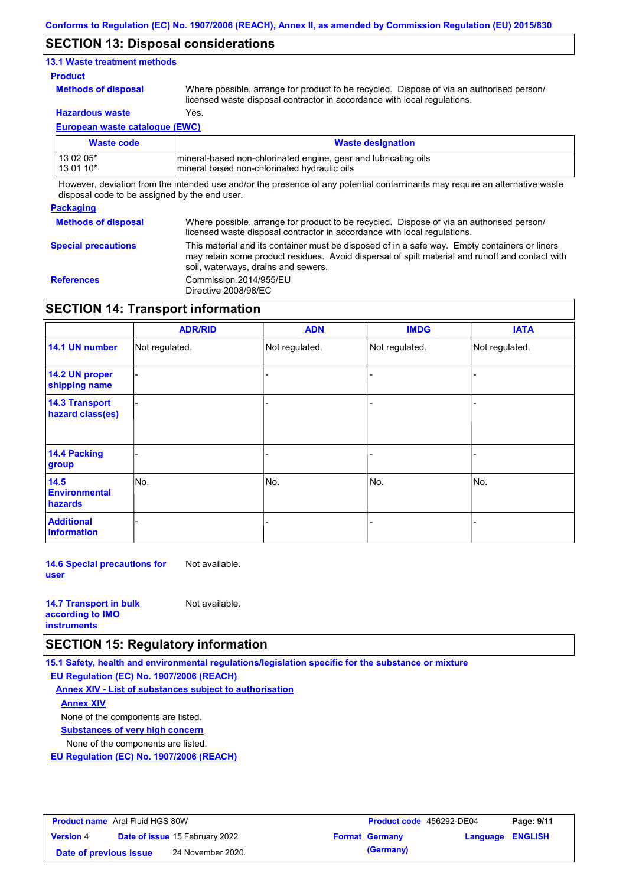## **SECTION 13: Disposal considerations**

### **13.1 Waste treatment methods**

#### **Product**

**Methods of disposal**

Where possible, arrange for product to be recycled. Dispose of via an authorised person/ licensed waste disposal contractor in accordance with local regulations.

**Hazardous waste** Yes.

**European waste catalogue (EWC)**

| Waste code  | <b>Waste designation</b>                                        |
|-------------|-----------------------------------------------------------------|
| l 13 02 05* | mineral-based non-chlorinated engine, gear and lubricating oils |
| 13 01 10*   | mineral based non-chlorinated hydraulic oils                    |

However, deviation from the intended use and/or the presence of any potential contaminants may require an alternative waste disposal code to be assigned by the end user.

| <b>Packaging</b>           |                                                                                                                                                                                                                                         |
|----------------------------|-----------------------------------------------------------------------------------------------------------------------------------------------------------------------------------------------------------------------------------------|
| <b>Methods of disposal</b> | Where possible, arrange for product to be recycled. Dispose of via an authorised person/<br>licensed waste disposal contractor in accordance with local regulations.                                                                    |
| <b>Special precautions</b> | This material and its container must be disposed of in a safe way. Empty containers or liners<br>may retain some product residues. Avoid dispersal of spilt material and runoff and contact with<br>soil, waterways, drains and sewers. |
| <b>References</b>          | Commission 2014/955/EU<br>Directive 2008/98/EC                                                                                                                                                                                          |

# **SECTION 14: Transport information**

|                                                | <b>ADR/RID</b> | <b>ADN</b>     | <b>IMDG</b>    | <b>IATA</b>    |
|------------------------------------------------|----------------|----------------|----------------|----------------|
| 14.1 UN number                                 | Not regulated. | Not regulated. | Not regulated. | Not regulated. |
| 14.2 UN proper<br>shipping name                |                |                |                |                |
| <b>14.3 Transport</b><br>hazard class(es)      |                |                |                |                |
| 14.4 Packing<br>group                          |                |                |                |                |
| 14.5<br><b>Environmental</b><br><b>hazards</b> | No.            | No.            | No.            | No.            |
| <b>Additional</b><br><b>information</b>        |                |                |                |                |

**14.6 Special precautions for user** Not available.

| <b>14.7 Transport in bulk</b> | Not available. |
|-------------------------------|----------------|
| according to <b>IMO</b>       |                |
| <b>instruments</b>            |                |

## **SECTION 15: Regulatory information**

**15.1 Safety, health and environmental regulations/legislation specific for the substance or mixture EU Regulation (EC) No. 1907/2006 (REACH)**

**Annex XIV - List of substances subject to authorisation**

**Annex XIV**

None of the components are listed.

**Substances of very high concern**

None of the components are listed.

**EU Regulation (EC) No. 1907/2006 (REACH)**

| <b>Product name</b> Aral Fluid HGS 80W |                                       |                   | <b>Product code</b> 456292-DE04 |                         | Page: 9/11 |  |
|----------------------------------------|---------------------------------------|-------------------|---------------------------------|-------------------------|------------|--|
| <b>Version 4</b>                       | <b>Date of issue 15 February 2022</b> |                   | <b>Format Germany</b>           | <b>Language ENGLISH</b> |            |  |
| Date of previous issue                 |                                       | 24 November 2020. |                                 | (Germany)               |            |  |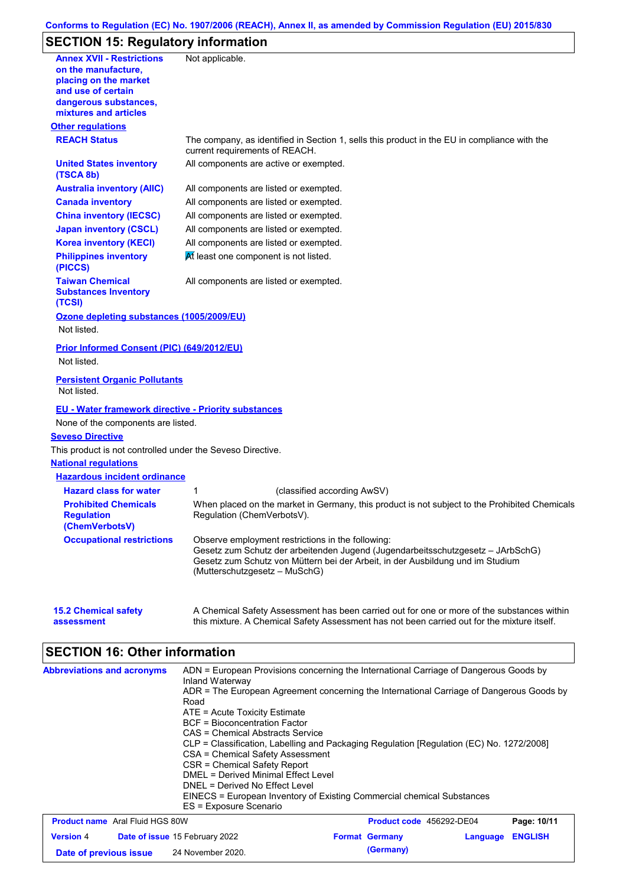### **Conforms to Regulation (EC) No. 1907/2006 (REACH), Annex II, as amended by Commission Regulation (EU) 2015/830**

# **SECTION 15: Regulatory information**

| <b>Annex XVII - Restrictions</b><br>on the manufacture,            | Not applicable.                                                                                                                                                                                      |
|--------------------------------------------------------------------|------------------------------------------------------------------------------------------------------------------------------------------------------------------------------------------------------|
| placing on the market                                              |                                                                                                                                                                                                      |
| and use of certain                                                 |                                                                                                                                                                                                      |
| dangerous substances,<br>mixtures and articles                     |                                                                                                                                                                                                      |
| <b>Other regulations</b>                                           |                                                                                                                                                                                                      |
| <b>REACH Status</b>                                                | The company, as identified in Section 1, sells this product in the EU in compliance with the<br>current requirements of REACH.                                                                       |
| <b>United States inventory</b><br>(TSCA 8b)                        | All components are active or exempted.                                                                                                                                                               |
| <b>Australia inventory (AIIC)</b>                                  | All components are listed or exempted.                                                                                                                                                               |
| <b>Canada inventory</b>                                            | All components are listed or exempted.                                                                                                                                                               |
| <b>China inventory (IECSC)</b>                                     | All components are listed or exempted.                                                                                                                                                               |
| <b>Japan inventory (CSCL)</b>                                      | All components are listed or exempted.                                                                                                                                                               |
| <b>Korea inventory (KECI)</b>                                      | All components are listed or exempted.                                                                                                                                                               |
| <b>Philippines inventory</b><br>(PICCS)                            | At least one component is not listed.                                                                                                                                                                |
| <b>Taiwan Chemical</b><br><b>Substances Inventory</b><br>(TCSI)    | All components are listed or exempted.                                                                                                                                                               |
| Ozone depleting substances (1005/2009/EU)<br>Not listed.           |                                                                                                                                                                                                      |
| Prior Informed Consent (PIC) (649/2012/EU)                         |                                                                                                                                                                                                      |
| Not listed.                                                        |                                                                                                                                                                                                      |
| <b>Persistent Organic Pollutants</b><br>Not listed.                |                                                                                                                                                                                                      |
| <b>EU - Water framework directive - Priority substances</b>        |                                                                                                                                                                                                      |
| None of the components are listed.                                 |                                                                                                                                                                                                      |
| <b>Seveso Directive</b>                                            |                                                                                                                                                                                                      |
| This product is not controlled under the Seveso Directive.         |                                                                                                                                                                                                      |
| <b>National regulations</b>                                        |                                                                                                                                                                                                      |
| <b>Hazardous incident ordinance</b>                                |                                                                                                                                                                                                      |
| <b>Hazard class for water</b>                                      | 1<br>(classified according AwSV)                                                                                                                                                                     |
| <b>Prohibited Chemicals</b><br><b>Regulation</b><br>(ChemVerbotsV) | When placed on the market in Germany, this product is not subject to the Prohibited Chemicals<br>Regulation (ChemVerbotsV).                                                                          |
| <b>Occupational restrictions</b>                                   | Observe employment restrictions in the following:                                                                                                                                                    |
|                                                                    | Gesetz zum Schutz der arbeitenden Jugend (Jugendarbeitsschutzgesetz - JArbSchG)<br>Gesetz zum Schutz von Müttern bei der Arbeit, in der Ausbildung und im Studium<br>(Mutterschutzgesetz - MuSchG)   |
| <b>15.2 Chemical safety</b><br>assessment                          | A Chemical Safety Assessment has been carried out for one or more of the substances within<br>this mixture. A Chemical Safety Assessment has not been carried out for the mixture itself.            |
| <b>SECTION 16: Other information</b>                               |                                                                                                                                                                                                      |
|                                                                    |                                                                                                                                                                                                      |
| <b>Abbreviations and acronyms</b>                                  | ADN = European Provisions concerning the International Carriage of Dangerous Goods by<br>Inland Waterway<br>ADR = The European Agreement concerning the International Carriage of Dangerous Goods by |
|                                                                    | Road                                                                                                                                                                                                 |
|                                                                    | ATE = Acute Toxicity Estimate                                                                                                                                                                        |
|                                                                    | <b>BCF</b> = Bioconcentration Factor<br>CAS = Chemical Abstracts Service                                                                                                                             |

- CLP = Classification, Labelling and Packaging Regulation [Regulation (EC) No. 1272/2008]
	- CSA = Chemical Safety Assessment
		- CSR = Chemical Safety Report
	- DMEL = Derived Minimal Effect Level
	- DNEL = Derived No Effect Level EINECS = European Inventory of Existing Commercial chemical Substances
- ES = Exposure Scenario **Product name** Aral Fluid HGS 80W **Version** 4 **Product code** 456292-DE04 **Page: 10/11 Date of issue** 15 February 2022 **Format Germany Example 2018** Language **ENGLISH Date of previous issue** 24 November 2020. **(Germany)**